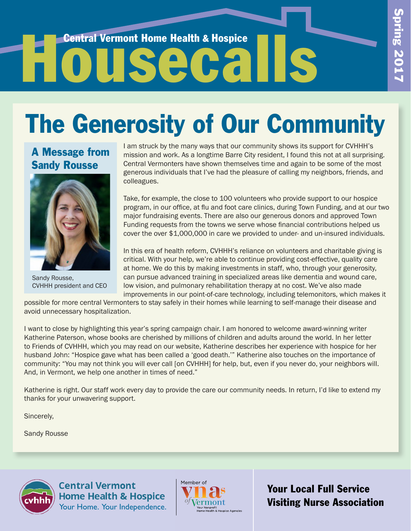# Central Vermont Home Health & Hospice

## The Generosity of Our Community

## A Message from Sandy Rousse



Sandy Rousse, CVHHH president and CEO

I am struck by the many ways that our community shows its support for CVHHH's mission and work. As a longtime Barre City resident, I found this not at all surprising. Central Vermonters have shown themselves time and again to be some of the most generous individuals that I've had the pleasure of calling my neighbors, friends, and colleagues.

Take, for example, the close to 100 volunteers who provide support to our hospice program, in our office, at flu and foot care clinics, during Town Funding, and at our two major fundraising events. There are also our generous donors and approved Town Funding requests from the towns we serve whose financial contributions helped us cover the over \$1,000,000 in care we provided to under- and un-insured individuals.

In this era of health reform, CVHHH's reliance on volunteers and charitable giving is critical. With your help, we're able to continue providing cost-effective, quality care at home. We do this by making investments in staff, who, through your generosity, can pursue advanced training in specialized areas like dementia and wound care, low vision, and pulmonary rehabilitation therapy at no cost. We've also made improvements in our point-of-care technology, including telemonitors, which makes it

possible for more central Vermonters to stay safely in their homes while learning to self-manage their disease and avoid unnecessary hospitalization.

I want to close by highlighting this year's spring campaign chair. I am honored to welcome award-winning writer Katherine Paterson, whose books are cherished by millions of children and adults around the world. In her letter to Friends of CVHHH, which you may read on our website, Katherine describes her experience with hospice for her husband John: "Hospice gave what has been called a 'good death.'" Katherine also touches on the importance of community: "You may not think you will ever call [on CVHHH] for help, but, even if you never do, your neighbors will. And, in Vermont, we help one another in times of need."

Katherine is right. Our staff work every day to provide the care our community needs. In return, I'd like to extend my thanks for your unwavering support.

Sincerely,

Sandy Rousse



**Central Vermont Home Health & Hospice** Your Home. Your Independence.



Your Local Full Service Visiting Nurse Association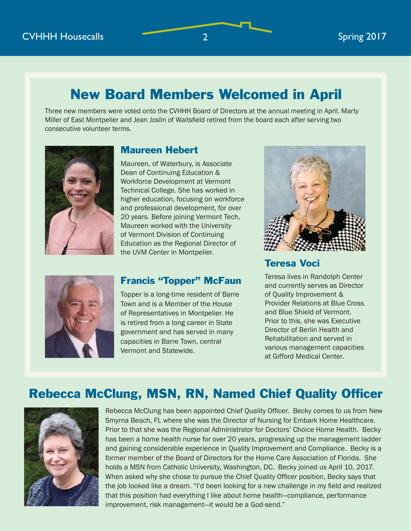## New Board Members Welcomed in April

Three new members were voted onto the CVHHH Board of Directors at the annual meeting in April. Marty Miller of East Montpelier and Jean Joslin of Waitsfield retired from the board each after serving two consecutive volunteer terms.



### Maureen Hebert

Maureen, of Waterbury, is Associate Dean of Continuing Education & Workforce Development at Vermont Technical College. She has worked in higher education, focusing on workforce and professional development, for over 20 years. Before joining Vermont Tech, Maureen worked with the University of Vermont Division of Continuing Education as the Regional Director of the UVM Center in Montpelier.



### Francis "Topper" McFaun

Topper is a long-time resident of Barre Town and is a Member of the House of Representatives in Montpelier. He is retired from a long career in State government and has served in many capacities in Barre Town, central Vermont and Statewide.



## Teresa Voci

Teresa lives in Randolph Center and currently serves as Director of Quality Improvement & Provider Relations at Blue Cross and Blue Shield of Vermont. Prior to this, she was Executive Director of Berlin Health and Rehabilitation and served in various management capacities at Gifford Medical Center.

## Rebecca McClung, MSN, RN, Named Chief Quality Officer



Rebecca McClung has been appointed Chief Quality Officer. Becky comes to us from New Smyrna Beach, FL where she was the Director of Nursing for Embark Home Healthcare. Prior to that she was the Regional Administrator for Doctors' Choice Home Health. Becky has been a home health nurse for over 20 years, progressing up the management ladder and gaining considerable experience in Quality Improvement and Compliance. Becky is a former member of the Board of Directors for the Home Care Association of Florida. She holds a MSN from Catholic University, Washington, DC. Becky joined us April 10, 2017. When asked why she chose to pursue the Chief Quality Officer position, Becky says that the job looked like a dream. "I'd been looking for a new challenge in my field and realized that this position had everything I like about home health—compliance, performance improvement, risk management—it would be a God-send."

2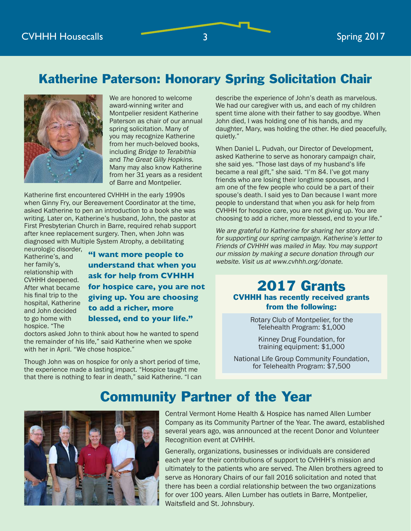## Katherine Paterson: Honorary Spring Solicitation Chair



We are honored to welcome award-winning writer and Montpelier resident Katherine Paterson as chair of our annual spring solicitation. Many of you may recognize Katherine from her much-beloved books, including Bridge to Terabithia and The Great Gilly Hopkins. Many may also know Katherine from her 31 years as a resident of Barre and Montpelier.

Katherine first encountered CVHHH in the early 1990s when Ginny Fry, our Bereavement Coordinator at the time, asked Katherine to pen an introduction to a book she was writing. Later on, Katherine's husband, John, the pastor at First Presbyterian Church in Barre, required rehab support after knee replacement surgery. Then, when John was diagnosed with Multiple System Atrophy, a debilitating

neurologic disorder, Katherine's, and her family's, relationship with CVHHH deepened. After what became his final trip to the hospital, Katherine and John decided to go home with hospice. "The

**"I want more people to understand that when you ask for help from CVHHH for hospice care, you are not giving up. You are choosing to add a richer, more blessed, end to your life."**

doctors asked John to think about how he wanted to spend the remainder of his life," said Katherine when we spoke with her in April. "We chose hospice."

Though John was on hospice for only a short period of time, the experience made a lasting impact. "Hospice taught me that there is nothing to fear in death," said Katherine. "I can

describe the experience of John's death as marvelous. We had our caregiver with us, and each of my children spent time alone with their father to say goodbye. When John died, I was holding one of his hands, and my daughter, Mary, was holding the other. He died peacefully, quietly."

When Daniel L. Pudvah, our Director of Development, asked Katherine to serve as honorary campaign chair, she said yes. "Those last days of my husband's life became a real gift," she said. "I'm 84. I've got many friends who are losing their longtime spouses, and I am one of the few people who could be a part of their spouse's death. I said yes to Dan because I want more people to understand that when you ask for help from CVHHH for hospice care, you are not giving up. You are choosing to add a richer, more blessed, end to your life."

We are grateful to Katherine for sharing her story and for supporting our spring campaign. Katherine's letter to Friends of CVHHH was mailed in May. You may support our mission by making a secure donation through our website. Visit us at www.cvhhh.org/donate.

## 2017 Grants CVHHH has recently received grants from the following:

Rotary Club of Montpelier, for the Telehealth Program: \$1,000

Kinney Drug Foundation, for training equipment: \$1,000

National Life Group Community Foundation, for Telehealth Program: \$7,500

## Community Partner of the Year



Central Vermont Home Health & Hospice has named Allen Lumber Company as its Community Partner of the Year. The award, established several years ago, was announced at the recent Donor and Volunteer Recognition event at CVHHH.

Generally, organizations, businesses or individuals are considered each year for their contributions of support to CVHHH's mission and ultimately to the patients who are served. The Allen brothers agreed to serve as Honorary Chairs of our fall 2016 solicitation and noted that there has been a cordial relationship between the two organizations for over 100 years. Allen Lumber has outlets in Barre, Montpelier, Waitsfield and St. Johnsbury.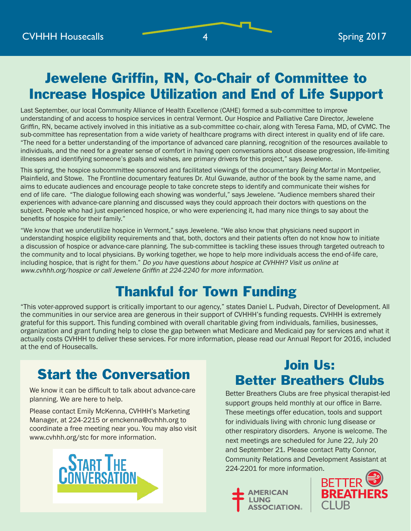## Jewelene Griffin, RN, Co-Chair of Committee to Increase Hospice Utilization and End of Life Support

Last September, our local Community Alliance of Health Excellence (CAHE) formed a sub-committee to improve understanding of and access to hospice services in central Vermont. Our Hospice and Palliative Care Director, Jewelene Griffin, RN, became actively involved in this initiative as a sub-committee co-chair, along with Teresa Fama, MD, of CVMC. The sub-committee has representation from a wide variety of healthcare programs with direct interest in quality end of life care. "The need for a better understanding of the importance of advanced care planning, recognition of the resources available to individuals, and the need for a greater sense of comfort in having open conversations about disease progression, life-limiting illnesses and identifying someone's goals and wishes, are primary drivers for this project," says Jewelene.

This spring, the hospice subcommittee sponsored and facilitated viewings of the documentary Being Mortal in Montpelier, Plainfield, and Stowe. The Frontline documentary features Dr. Atul Guwande, author of the book by the same name, and aims to educate audiences and encourage people to take concrete steps to identify and communicate their wishes for end of life care. "The dialogue following each showing was wonderful," says Jewelene. "Audience members shared their experiences with advance-care planning and discussed ways they could approach their doctors with questions on the subject. People who had just experienced hospice, or who were experiencing it, had many nice things to say about the benefits of hospice for their family."

"We know that we underutilize hospice in Vermont," says Jewelene. "We also know that physicians need support in understanding hospice eligibility requirements and that, both, doctors and their patients often do not know how to initiate a discussion of hospice or advance-care planning. The sub-committee is tackling these issues through targeted outreach to the community and to local physicians. By working together, we hope to help more individuals access the end-of-life care, including hospice, that is right for them." Do you have questions about hospice at CVHHH? Visit us online at www.cvhhh.org/hospice or call Jewelene Griffin at 224-2240 for more information.

## Thankful for Town Funding

"This voter-approved support is critically important to our agency," states Daniel L. Pudvah, Director of Development. All the communities in our service area are generous in their support of CVHHH's funding requests. CVHHH is extremely grateful for this support. This funding combined with overall charitable giving from individuals, families, businesses, organization and grant funding help to close the gap between what Medicare and Medicaid pay for services and what it actually costs CVHHH to deliver these services. For more information, please read our Annual Report for 2016, included at the end of Housecalls.

## Start the Conversation

We know it can be difficult to talk about advance-care planning. We are here to help.

Please contact Emily McKenna, CVHHH's Marketing Manager, at 224-2215 or emckenna@cvhhh.org to coordinate a free meeting near you. You may also visit www.cvhhh.org/stc for more information.



## Join Us: Better Breathers Clubs

Better Breathers Clubs are free physical therapist-led support groups held monthly at our office in Barre. These meetings offer education, tools and support for individuals living with chronic lung disease or other respiratory disorders. Anyone is welcome. The next meetings are scheduled for June 22, July 20 and September 21. Please contact Patty Connor, Community Relations and Development Assistant at 224-2201 for more information.





4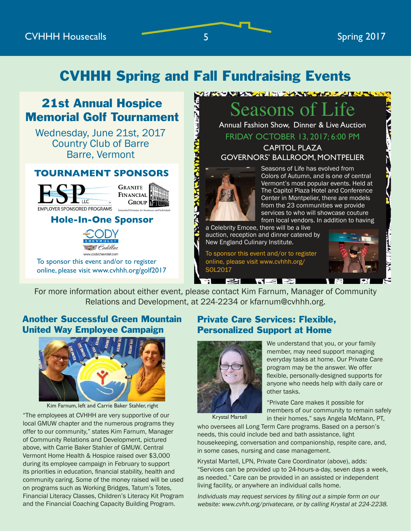## CVHHH Spring and Fall Fundraising Events

محملا و لملينا أو.

## 21st Annual Hospice Memorial Golf Tournament

Wednesday, June 21st, 2017 Country Club of Barre **Barre, Vermont Indi** 

#### **TOURNAMENT SPONSOR TOURNAMENT SPONSORS**





## **Hole-In-One Sponsor HOLE-IN-ONE SPONSOR**



win A new York Car First Car First **Car First Care First** To sponsor this event and/or to register **EAGLE SPONSORS** online, please visit www.cvhhh.org/golf2017

## easons of Li

**CARRY AND ANOVAL THE PROPERTY OF A REPORT OF A REPORT OF A REPORT OF A REPORT OF A REPORT OF A REPORT OF A REPORT OF A REPORT OF A REPORT OF A REPORT OF A REPORT OF A REPORT OF A REPORT OF A REPORT OF A REPORT OF A REPORT** 

Annual Fashion Show, Dinner & Live Auction FRIDAY OCTOBER 13, 2017; 6:00 PM

CAPITOL PLAZA GOVERNORS' BALLROOM, MONTPELIER



Seasons of Life has evolved from Colors of Autumn, and is one of central Vermont's most popular events. Held at The Capitol Plaza Hotel and Conference Center in Montpelier, there are models from the 23 communities we provide services to who will showcase couture from local vendors. In addition to having

a Celebrity Emcee, there will be a live auction, reception and dinner catered by New England Culinary Institute.

To sponsor this event and/or to register online, please visit www.cvhhh.org/ SOL2017

**EXISTER** 



**Feedback**<br>**Feedback**<br>**Feedback**  \$500 per foursome \$ \_\_\_\_\_\_\_\_\_\_\_\_\_\_ I would like to purchase the helicopter ball drop time the helicopter ball drop to  $\frac{1}{2}$  a piece. My payment is included with  $\frac{1}{2}$  $\frac{1}{\pi}$ For more information about either event, please contact Kim Farnum, Manager of Community Relations and Development, at 224-2234 or kfarnum@cvhhh.org.

Ŧ.

# **If registering as INDIVIDUAL(S):**  $\begin{bmatrix} 1 & 1 \\ 0 & 1 \end{bmatrix}$ Bill m<br>Mari  $\frac{1}{\sqrt{2}}$ Another Successful Green Mountain United Way Employee Campaign



Kim Farnum, left and Carrie Baker Stahler, right

"The employees at CVHHH are very supportive of our local GMUW chapter and the numerous programs they offer to our community," states Kim Farnum, Manager of Community Relations and Development, pictured above, with Carrie Baker Stahler of GMUW. Central Vermont Home Health & Hospice raised over \$3,000 during its employee campaign in February to support its priorities in education, financial stability, health and community caring. Some of the money raised will be used on programs such as Working Bridges, Tatum's Totes, Financial Literacy Classes, Children's Literacy Kit Program and the Financial Coaching Capacity Building Program.

#### Private Care Services: Flexible, Personalized Support at Home



We understand that you, or your family member, may need support managing everyday tasks at home. Our Private Care program may be the answer. We offer flexible, personally-designed supports for anyone who needs help with daily care or other tasks.

Krystal Martell

"Private Care makes it possible for members of our community to remain safely in their homes," says Angela McMann, PT,

who oversees all Long Term Care programs. Based on a person's needs, this could include bed and bath assistance, light housekeeping, conversation and companionship, respite care, and, in some cases, nursing and case management.

Krystal Martell, LPN, Private Care Coordinator (above), adds: "Services can be provided up to 24-hours-a-day, seven days a week, as needed." Care can be provided in an assisted or independent living facility, or anywhere an individual calls home.

Individuals may request services by filling out a simple form on our website: www.cvhh.org/privatecare, or by calling Krystal at 224-2238.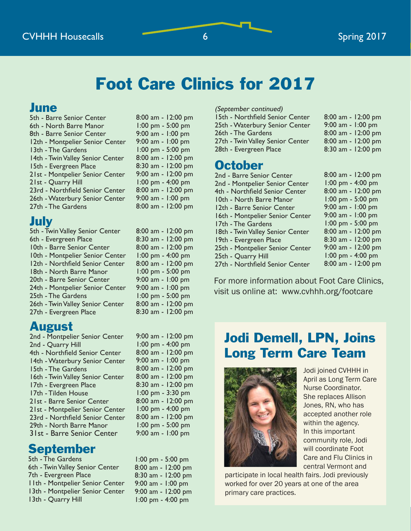## Foot Care Clinics for 2017

## June

| 5th - Barre Senior Center        | 8:0  |
|----------------------------------|------|
| 6th - North Barre Manor          | l:(  |
| 8th - Barre Senior Center        | 9:0  |
| 12th - Montpelier Senior Center  | 9:0  |
| 13th - The Gardens               | ): ا |
| 14th - Twin Valley Senior Center | 8:0  |
| 15th - Evergreen Place           | 8:   |
| 21st - Montpelier Senior Center  | 9:0  |
| 21st - Quarry Hill               | ): ا |
| 23rd - Northfield Senior Center  | 8:0  |
| 26th - Waterbury Senior Center   | 9:0  |
| 27th - The Gardens               | 8:0  |
|                                  |      |

## July

| 5th - Twin Valley Senior Center  | 8:00 |
|----------------------------------|------|
| 6th - Evergreen Place            | 8:30 |
| 10th - Barre Senior Center       | 8:00 |
| 10th - Montpelier Senior Center  | 1:00 |
| 12th - Northfield Senior Center  | 8:00 |
| 18th - North Barre Manor         | 1:00 |
| 20th - Barre Senior Center       | 9:0( |
| 24th - Montpelier Senior Center  | 9:0( |
| 25th - The Gardens               | 1:00 |
| 26th - Twin Valley Senior Center | 8:00 |
| 27th - Evergreen Place           | 8:30 |

## August

| 2nd - Montpelier Senior Center   |
|----------------------------------|
| 2nd - Quarry Hill                |
| 4th - Northfield Senior Center   |
| 14th - Waterbury Senior Center   |
| 15th - The Gardens               |
| 16th - Twin Valley Senior Center |
| 17th - Evergreen Place           |
| 17th - Tilden House              |
| 21st - Barre Senior Center       |
| 21st - Montpelier Senior Center  |
| 23rd - Northfield Senior Center  |
| 29th - North Barre Manor         |
| 31st - Barre Senior Center       |
|                                  |

## September

5th - The Gardens 6th - Twin Valley Senior Center 7th - Evergreen Place 11th - Montpelier Senior Center 13th - Montpelier Senior Center 13th - Quarry Hill

00 am - 12:00 pm 00 pm - 5:00 pm 00 am - 1:00 pm 00 am - 1:00 pm 00 pm - 5:00 pm 00 am - 12:00 pm 30 am - 12:00 pm 00 am - 12:00 pm 00 pm - 4:00 pm 00 am - 12:00 pm 00 am - 1:00 pm 00 am - 12:00 pm

8:00 am - 12:00 pm 0 am - 12:00 pm 8:00 am - 12:00 pm 0 pm - 4:00 pm 8:00 am - 12:00 pm 0 pm - 5:00 pm 9:00 am - 1:00 pm 9:00 am - 1:00 pm 0 pm - 5:00 pm 0 am - 12:00 pm 0 am - 12:00 pm

| 9:00 am - 12:00 pm |
|--------------------|
| 1:00 pm - 4:00 pm  |
| 8:00 am - 12:00 pm |
| 9:00 am - 1:00 pm  |
| 8:00 am - 12:00 pm |
| 8:00 am - 12:00 pm |
| 8:30 am - 12:00 pm |
| 1:00 pm - 3:30 pm  |
| 8:00 am - 12:00 pm |
| 1:00 pm - 4:00 pm  |
| 8:00 am - 12:00 pm |
| 1:00 pm - 5:00 pm  |
| 9:00 am - 1:00 pm  |
|                    |

1:00 pm - 5:00 pm 8:00 am - 12:00 pm 8:30 am - 12:00 pm 9:00 am - 1:00 pm 9:00 am - 12:00 pm 1:00 pm - 4:00 pm

#### (September continued)

| 15th - Northfield Senior Center  | 8:00 am - 12:00 pm  |
|----------------------------------|---------------------|
| 25th - Waterbury Senior Center   | 9:00 am - $1:00$ pm |
| 26th - The Gardens               | 8:00 am - 12:00 pm  |
| 27th - Twin Valley Senior Center | 8:00 am - 12:00 pm  |
| 28th - Evergreen Place           | 8:30 am - 12:00 pm  |
|                                  |                     |

## **October**

| 2nd - Barre Senior Center        | 8:00 am - 12:00 pm                  |
|----------------------------------|-------------------------------------|
| 2nd - Montpelier Senior Center   | 1:00 pm - 4:00 pm                   |
| 4th - Northfield Senior Center   | 8:00 am - 12:00 pm                  |
| 10th - North Barre Manor         | 1:00 pm - 5:00 pm                   |
| 12th - Barre Senior Center       | 9:00 am - 1:00 pm                   |
| 16th - Montpelier Senior Center  | 9:00 am - 1:00 pm                   |
| 17th - The Gardens               | $1:00$ pm - 5:00 pm                 |
| 18th - Twin Valley Senior Center | 8:00 am - 12:00 pm                  |
| 19th - Evergreen Place           | 8:30 am - 12:00 pm                  |
| 25th - Montpelier Senior Center  | 9:00 am - 12:00 pm                  |
| 25th - Quarry Hill               | $1:00 \text{ pm} - 4:00 \text{ pm}$ |
| 27th - Northfield Senior Center  | 8:00 am - 12:00 pm                  |
|                                  |                                     |

For more information about Foot Care Clinics, visit us online at: www.cvhhh.org/footcare

## Jodi Demell, LPN, Joins Long Term Care Team



Jodi joined CVHHH in April as Long Term Care Nurse Coordinator. She replaces Allison Jones, RN, who has accepted another role within the agency. In this important community role, Jodi will coordinate Foot Care and Flu Clinics in central Vermont and

participate in local health fairs. Jodi previously worked for over 20 years at one of the area primary care practices.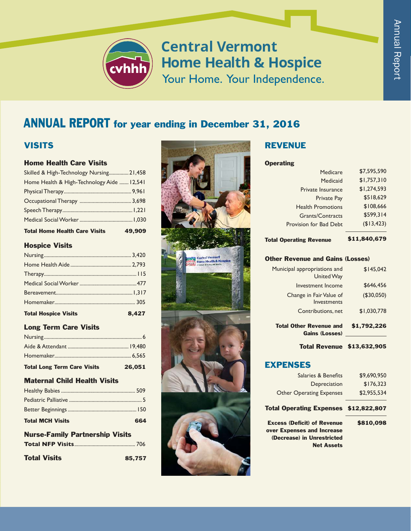

**Central Vermont Home Health & Hospice** Your Home. Your Independence.

## ANNUAL REPORT for year ending in December 31, 2016

#### **VISITS**

#### Home Health Care Visits

| Skilled & High-Technology Nursing 21,458   |  |
|--------------------------------------------|--|
| Home Health & High-Technology Aide  12,541 |  |
|                                            |  |
|                                            |  |
|                                            |  |
|                                            |  |

Total Home Health Care Visits 49,909

#### Hospice Visits

| 8,427 |
|-------|
|       |
|       |
|       |
|       |
|       |
|       |
|       |

#### Long Term Care Visits

| <b>Total Long Term Care Visits</b> | 26,051 |
|------------------------------------|--------|
|                                    |        |
|                                    |        |
|                                    |        |

#### Maternal Child Health Visits

| <b>Total MCH Visits</b> | 664 |
|-------------------------|-----|
|                         |     |

#### Nurse-Family Partnership Visits **Total NFP Visits** .............................................. 706

| 85,757 |
|--------|
|        |



#### REVENUE

#### **Operating**

| Medicare                 | \$7,595,590 |
|--------------------------|-------------|
| Medicaid                 | \$1,757,310 |
| Private Insurance        | \$1,274,593 |
| <b>Private Pay</b>       | \$518,629   |
| <b>Health Promotions</b> | \$108,666   |
| <b>Grants/Contracts</b>  | \$599,314   |
| Provision for Bad Debt   | (\$13,423)  |
|                          |             |

#### Total Operating Revenue \$11,840,679

#### Other Revenue and Gains (Losses)

| <b>Total Other Revenue and</b><br><b>Gains (Losses)</b> | \$1,792,226 |
|---------------------------------------------------------|-------------|
| Contributions, net                                      | \$1,030,778 |
| Change in Fair Value of<br>Investments                  | (\$30,050)  |
| Investment Income                                       | \$646,456   |
| Municipal appropriations and<br><b>United Way</b>       | \$145.042   |

#### Total Revenue \$13,632,905

#### EXPENSES

| \$9,690,950                           |
|---------------------------------------|
| \$176,323                             |
| \$2,955.534                           |
| Total Operating Expenses \$12,822,807 |
| \$810,098                             |
|                                       |